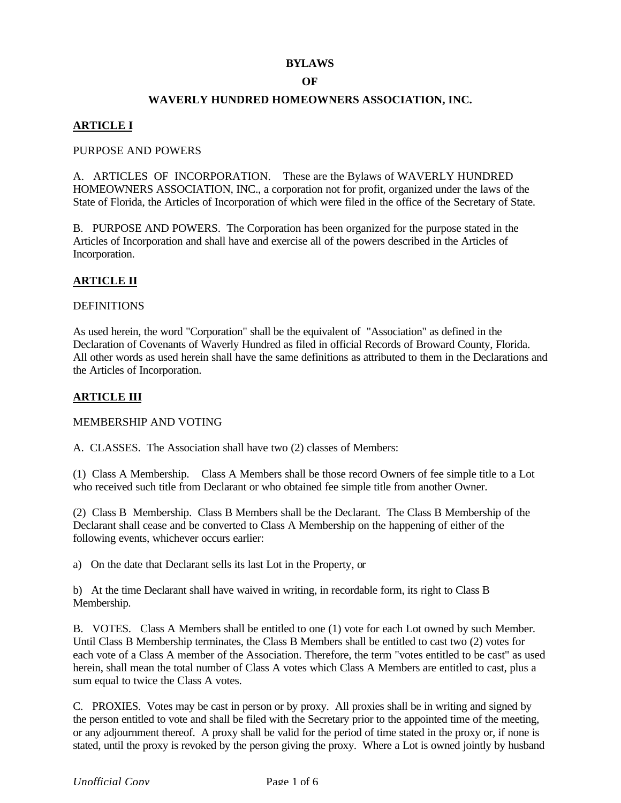#### **BYLAWS**

### **OF**

## **WAVERLY HUNDRED HOMEOWNERS ASSOCIATION, INC.**

# **ARTICLE I**

### PURPOSE AND POWERS

A. ARTICLES OF INCORPORATION. These are the Bylaws of WAVERLY HUNDRED HOMEOWNERS ASSOCIATION, INC., a corporation not for profit, organized under the laws of the State of Florida, the Articles of Incorporation of which were filed in the office of the Secretary of State.

B. PURPOSE AND POWERS. The Corporation has been organized for the purpose stated in the Articles of Incorporation and shall have and exercise all of the powers described in the Articles of Incorporation.

## **ARTICLE II**

#### **DEFINITIONS**

As used herein, the word "Corporation" shall be the equivalent of "Association" as defined in the Declaration of Covenants of Waverly Hundred as filed in official Records of Broward County, Florida. All other words as used herein shall have the same definitions as attributed to them in the Declarations and the Articles of Incorporation.

### **ARTICLE III**

MEMBERSHIP AND VOTING

A. CLASSES. The Association shall have two (2) classes of Members:

(1) Class A Membership. Class A Members shall be those record Owners of fee simple title to a Lot who received such title from Declarant or who obtained fee simple title from another Owner.

(2) Class B Membership. Class B Members shall be the Declarant. The Class B Membership of the Declarant shall cease and be converted to Class A Membership on the happening of either of the following events, whichever occurs earlier:

a) On the date that Declarant sells its last Lot in the Property, or

b) At the time Declarant shall have waived in writing, in recordable form, its right to Class B Membership.

B. VOTES. Class A Members shall be entitled to one (1) vote for each Lot owned by such Member. Until Class B Membership terminates, the Class B Members shall be entitled to cast two (2) votes for each vote of a Class A member of the Association. Therefore, the term "votes entitled to be cast" as used herein, shall mean the total number of Class A votes which Class A Members are entitled to cast, plus a sum equal to twice the Class A votes.

C. PROXIES. Votes may be cast in person or by proxy. All proxies shall be in writing and signed by the person entitled to vote and shall be filed with the Secretary prior to the appointed time of the meeting, or any adjournment thereof. A proxy shall be valid for the period of time stated in the proxy or, if none is stated, until the proxy is revoked by the person giving the proxy. Where a Lot is owned jointly by husband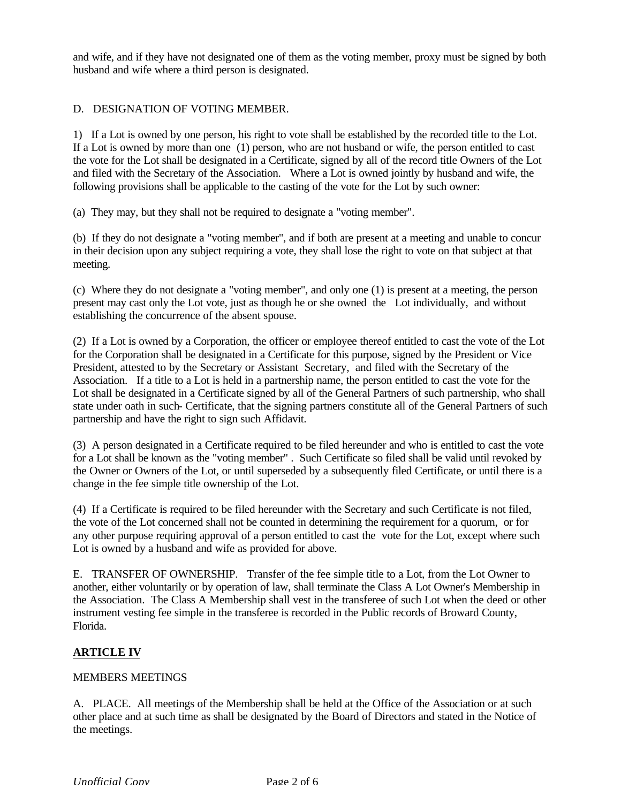and wife, and if they have not designated one of them as the voting member, proxy must be signed by both husband and wife where a third person is designated.

## D. DESIGNATION OF VOTING MEMBER.

1) If a Lot is owned by one person, his right to vote shall be established by the recorded title to the Lot. If a Lot is owned by more than one (1) person, who are not husband or wife, the person entitled to cast the vote for the Lot shall be designated in a Certificate, signed by all of the record title Owners of the Lot and filed with the Secretary of the Association. Where a Lot is owned jointly by husband and wife, the following provisions shall be applicable to the casting of the vote for the Lot by such owner:

(a) They may, but they shall not be required to designate a "voting member".

(b) If they do not designate a "voting member", and if both are present at a meeting and unable to concur in their decision upon any subject requiring a vote, they shall lose the right to vote on that subject at that meeting.

(c) Where they do not designate a "voting member", and only one (1) is present at a meeting, the person present may cast only the Lot vote, just as though he or she owned the Lot individually, and without establishing the concurrence of the absent spouse.

(2) If a Lot is owned by a Corporation, the officer or employee thereof entitled to cast the vote of the Lot for the Corporation shall be designated in a Certificate for this purpose, signed by the President or Vice President, attested to by the Secretary or Assistant Secretary, and filed with the Secretary of the Association. If a title to a Lot is held in a partnership name, the person entitled to cast the vote for the Lot shall be designated in a Certificate signed by all of the General Partners of such partnership, who shall state under oath in such- Certificate, that the signing partners constitute all of the General Partners of such partnership and have the right to sign such Affidavit.

(3) A person designated in a Certificate required to be filed hereunder and who is entitled to cast the vote for a Lot shall be known as the "voting member" . Such Certificate so filed shall be valid until revoked by the Owner or Owners of the Lot, or until superseded by a subsequently filed Certificate, or until there is a change in the fee simple title ownership of the Lot.

(4) If a Certificate is required to be filed hereunder with the Secretary and such Certificate is not filed, the vote of the Lot concerned shall not be counted in determining the requirement for a quorum, or for any other purpose requiring approval of a person entitled to cast the vote for the Lot, except where such Lot is owned by a husband and wife as provided for above.

E. TRANSFER OF OWNERSHIP. Transfer of the fee simple title to a Lot, from the Lot Owner to another, either voluntarily or by operation of law, shall terminate the Class A Lot Owner's Membership in the Association. The Class A Membership shall vest in the transferee of such Lot when the deed or other instrument vesting fee simple in the transferee is recorded in the Public records of Broward County, Florida.

## **ARTICLE IV**

#### MEMBERS MEETINGS

A. PLACE. All meetings of the Membership shall be held at the Office of the Association or at such other place and at such time as shall be designated by the Board of Directors and stated in the Notice of the meetings.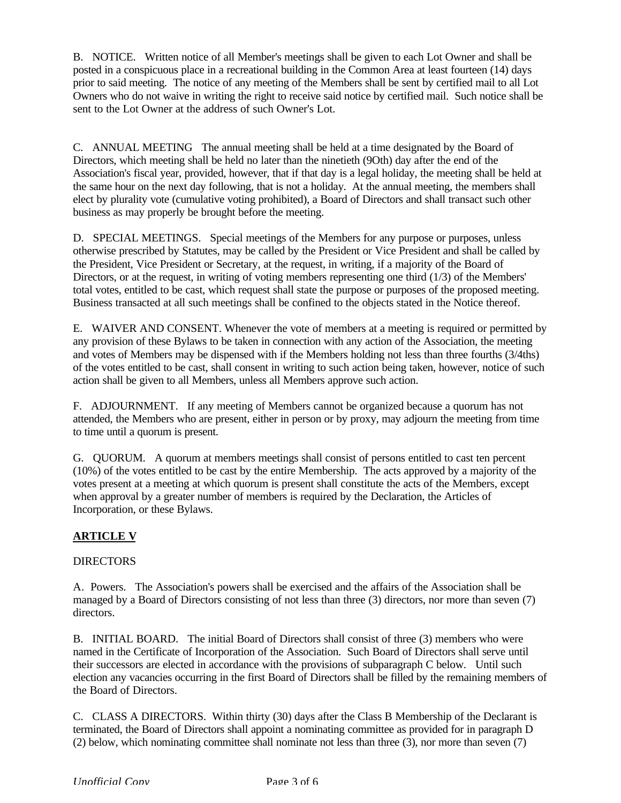B. NOTICE. Written notice of all Member's meetings shall be given to each Lot Owner and shall be posted in a conspicuous place in a recreational building in the Common Area at least fourteen (14) days prior to said meeting. The notice of any meeting of the Members shall be sent by certified mail to all Lot Owners who do not waive in writing the right to receive said notice by certified mail. Such notice shall be sent to the Lot Owner at the address of such Owner's Lot.

C. ANNUAL MEETING The annual meeting shall be held at a time designated by the Board of Directors, which meeting shall be held no later than the ninetieth (9Oth) day after the end of the Association's fiscal year, provided, however, that if that day is a legal holiday, the meeting shall be held at the same hour on the next day following, that is not a holiday. At the annual meeting, the members shall elect by plurality vote (cumulative voting prohibited), a Board of Directors and shall transact such other business as may properly be brought before the meeting.

D. SPECIAL MEETINGS. Special meetings of the Members for any purpose or purposes, unless otherwise prescribed by Statutes, may be called by the President or Vice President and shall be called by the President, Vice President or Secretary, at the request, in writing, if a majority of the Board of Directors, or at the request, in writing of voting members representing one third (1/3) of the Members' total votes, entitled to be cast, which request shall state the purpose or purposes of the proposed meeting. Business transacted at all such meetings shall be confined to the objects stated in the Notice thereof.

E. WAIVER AND CONSENT. Whenever the vote of members at a meeting is required or permitted by any provision of these Bylaws to be taken in connection with any action of the Association, the meeting and votes of Members may be dispensed with if the Members holding not less than three fourths (3/4ths) of the votes entitled to be cast, shall consent in writing to such action being taken, however, notice of such action shall be given to all Members, unless all Members approve such action.

F. ADJOURNMENT. If any meeting of Members cannot be organized because a quorum has not attended, the Members who are present, either in person or by proxy, may adjourn the meeting from time to time until a quorum is present.

G. QUORUM. A quorum at members meetings shall consist of persons entitled to cast ten percent (10%) of the votes entitled to be cast by the entire Membership. The acts approved by a majority of the votes present at a meeting at which quorum is present shall constitute the acts of the Members, except when approval by a greater number of members is required by the Declaration, the Articles of Incorporation, or these Bylaws.

# **ARTICLE V**

## DIRECTORS

A. Powers. The Association's powers shall be exercised and the affairs of the Association shall be managed by a Board of Directors consisting of not less than three (3) directors, nor more than seven (7) directors.

B. INITIAL BOARD. The initial Board of Directors shall consist of three (3) members who were named in the Certificate of Incorporation of the Association. Such Board of Directors shall serve until their successors are elected in accordance with the provisions of subparagraph C below. Until such election any vacancies occurring in the first Board of Directors shall be filled by the remaining members of the Board of Directors.

C. CLASS A DIRECTORS. Within thirty (30) days after the Class B Membership of the Declarant is terminated, the Board of Directors shall appoint a nominating committee as provided for in paragraph D (2) below, which nominating committee shall nominate not less than three (3), nor more than seven (7)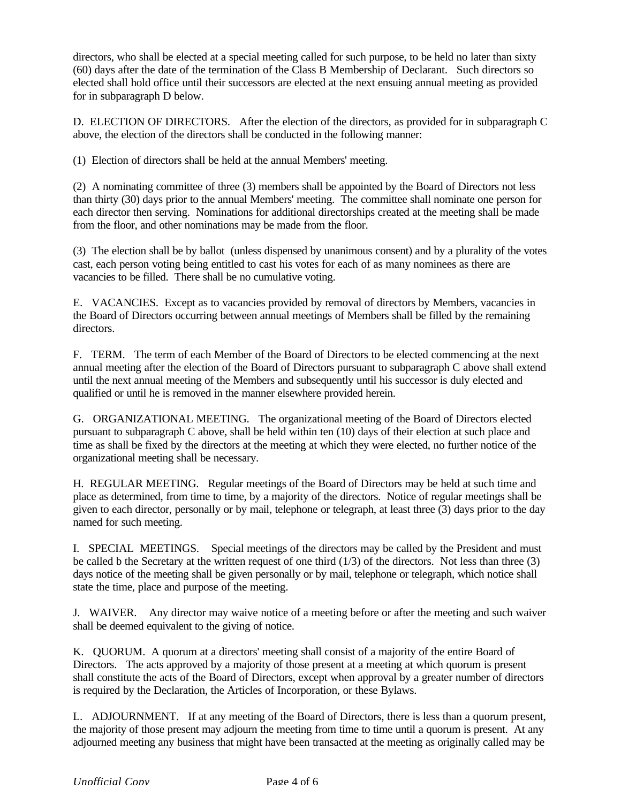directors, who shall be elected at a special meeting called for such purpose, to be held no later than sixty (60) days after the date of the termination of the Class B Membership of Declarant. Such directors so elected shall hold office until their successors are elected at the next ensuing annual meeting as provided for in subparagraph D below.

D. ELECTION OF DIRECTORS. After the election of the directors, as provided for in subparagraph C above, the election of the directors shall be conducted in the following manner:

(1) Election of directors shall be held at the annual Members' meeting.

(2) A nominating committee of three (3) members shall be appointed by the Board of Directors not less than thirty (30) days prior to the annual Members' meeting. The committee shall nominate one person for each director then serving. Nominations for additional directorships created at the meeting shall be made from the floor, and other nominations may be made from the floor.

(3) The election shall be by ballot (unless dispensed by unanimous consent) and by a plurality of the votes cast, each person voting being entitled to cast his votes for each of as many nominees as there are vacancies to be filled. There shall be no cumulative voting.

E. VACANCIES. Except as to vacancies provided by removal of directors by Members, vacancies in the Board of Directors occurring between annual meetings of Members shall be filled by the remaining directors.

F. TERM. The term of each Member of the Board of Directors to be elected commencing at the next annual meeting after the election of the Board of Directors pursuant to subparagraph C above shall extend until the next annual meeting of the Members and subsequently until his successor is duly elected and qualified or until he is removed in the manner elsewhere provided herein.

G. ORGANIZATIONAL MEETING. The organizational meeting of the Board of Directors elected pursuant to subparagraph C above, shall be held within ten (10) days of their election at such place and time as shall be fixed by the directors at the meeting at which they were elected, no further notice of the organizational meeting shall be necessary.

H. REGULAR MEETING. Regular meetings of the Board of Directors may be held at such time and place as determined, from time to time, by a majority of the directors. Notice of regular meetings shall be given to each director, personally or by mail, telephone or telegraph, at least three (3) days prior to the day named for such meeting.

I. SPECIAL MEETINGS. Special meetings of the directors may be called by the President and must be called b the Secretary at the written request of one third (1/3) of the directors. Not less than three (3) days notice of the meeting shall be given personally or by mail, telephone or telegraph, which notice shall state the time, place and purpose of the meeting.

J. WAIVER. Any director may waive notice of a meeting before or after the meeting and such waiver shall be deemed equivalent to the giving of notice.

K. QUORUM. A quorum at a directors' meeting shall consist of a majority of the entire Board of Directors. The acts approved by a majority of those present at a meeting at which quorum is present shall constitute the acts of the Board of Directors, except when approval by a greater number of directors is required by the Declaration, the Articles of Incorporation, or these Bylaws.

L. ADJOURNMENT. If at any meeting of the Board of Directors, there is less than a quorum present, the majority of those present may adjourn the meeting from time to time until a quorum is present. At any adjourned meeting any business that might have been transacted at the meeting as originally called may be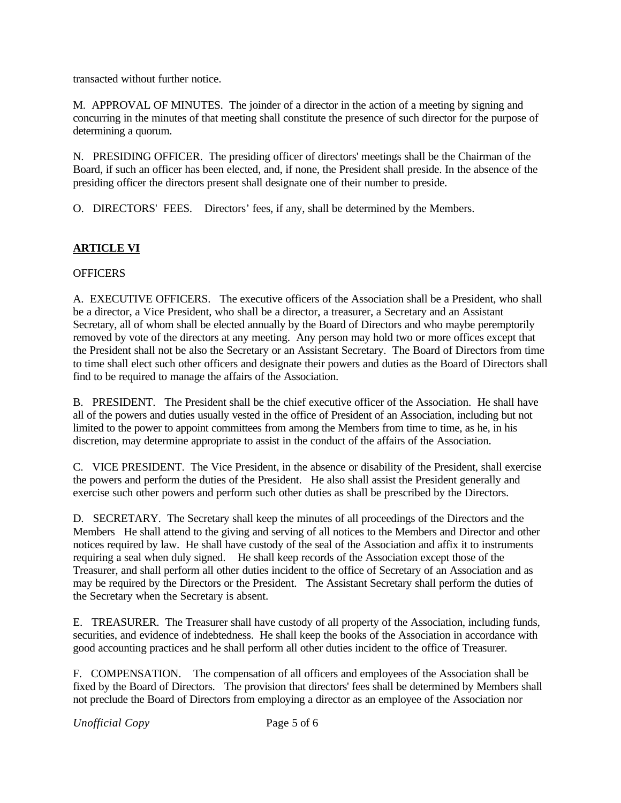transacted without further notice.

M. APPROVAL OF MINUTES. The joinder of a director in the action of a meeting by signing and concurring in the minutes of that meeting shall constitute the presence of such director for the purpose of determining a quorum.

N. PRESIDING OFFICER. The presiding officer of directors' meetings shall be the Chairman of the Board, if such an officer has been elected, and, if none, the President shall preside. In the absence of the presiding officer the directors present shall designate one of their number to preside.

O. DIRECTORS' FEES. Directors' fees, if any, shall be determined by the Members.

# **ARTICLE VI**

# **OFFICERS**

A. EXECUTIVE OFFICERS. The executive officers of the Association shall be a President, who shall be a director, a Vice President, who shall be a director, a treasurer, a Secretary and an Assistant Secretary, all of whom shall be elected annually by the Board of Directors and who maybe peremptorily removed by vote of the directors at any meeting. Any person may hold two or more offices except that the President shall not be also the Secretary or an Assistant Secretary. The Board of Directors from time to time shall elect such other officers and designate their powers and duties as the Board of Directors shall find to be required to manage the affairs of the Association.

B. PRESIDENT. The President shall be the chief executive officer of the Association. He shall have all of the powers and duties usually vested in the office of President of an Association, including but not limited to the power to appoint committees from among the Members from time to time, as he, in his discretion, may determine appropriate to assist in the conduct of the affairs of the Association.

C. VICE PRESIDENT. The Vice President, in the absence or disability of the President, shall exercise the powers and perform the duties of the President. He also shall assist the President generally and exercise such other powers and perform such other duties as shall be prescribed by the Directors.

D. SECRETARY. The Secretary shall keep the minutes of all proceedings of the Directors and the Members He shall attend to the giving and serving of all notices to the Members and Director and other notices required by law. He shall have custody of the seal of the Association and affix it to instruments requiring a seal when duly signed. He shall keep records of the Association except those of the Treasurer, and shall perform all other duties incident to the office of Secretary of an Association and as may be required by the Directors or the President. The Assistant Secretary shall perform the duties of the Secretary when the Secretary is absent.

E. TREASURER. The Treasurer shall have custody of all property of the Association, including funds, securities, and evidence of indebtedness. He shall keep the books of the Association in accordance with good accounting practices and he shall perform all other duties incident to the office of Treasurer.

F. COMPENSATION. The compensation of all officers and employees of the Association shall be fixed by the Board of Directors. The provision that directors' fees shall be determined by Members shall not preclude the Board of Directors from employing a director as an employee of the Association nor

*Unofficial Copy* Page 5 of 6